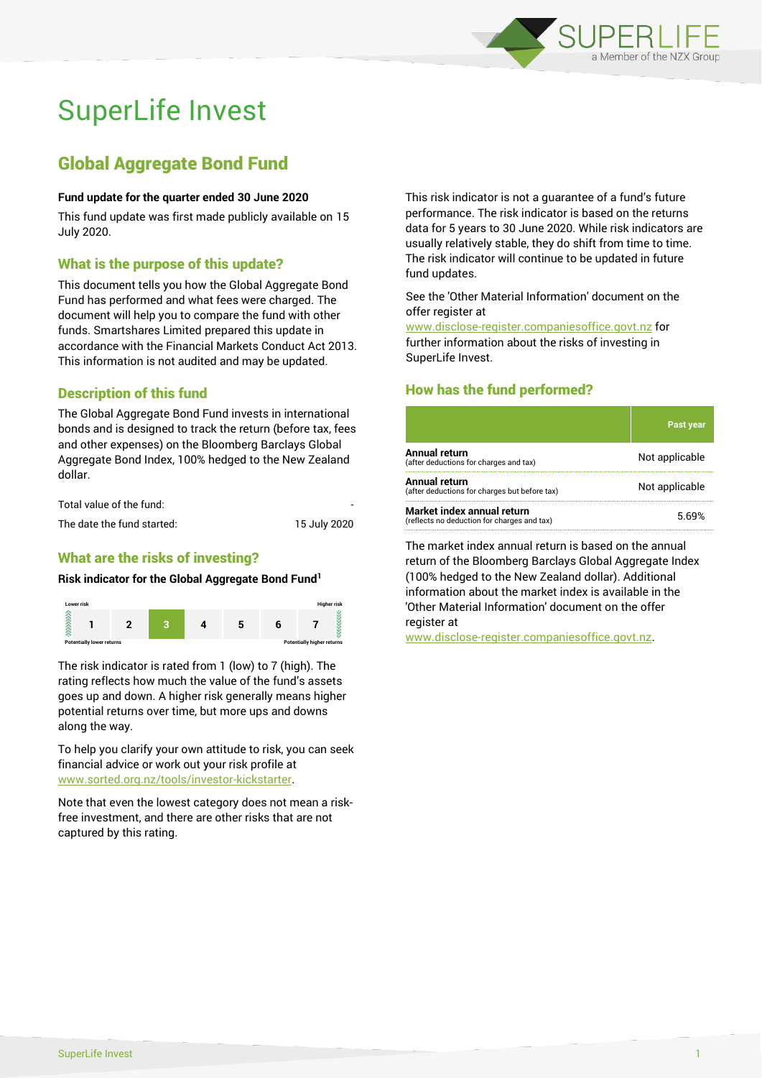

# SuperLife Invest

## Global Aggregate Bond Fund

### **Fund update for the quarter ended 30 June 2020**

This fund update was first made publicly available on 15 July 2020.

## What is the purpose of this update?

This document tells you how the Global Aggregate Bond Fund has performed and what fees were charged. The document will help you to compare the fund with other funds. Smartshares Limited prepared this update in accordance with the Financial Markets Conduct Act 2013. This information is not audited and may be updated.

## Description of this fund

The Global Aggregate Bond Fund invests in international bonds and is designed to track the return (before tax, fees and other expenses) on the Bloomberg Barclays Global Aggregate Bond Index, 100% hedged to the New Zealand dollar.

| Total value of the fund:   | -            |
|----------------------------|--------------|
| The date the fund started: | 15 July 2020 |

## What are the risks of investing?

#### **Risk indicator for the Global Aggregate Bond Fund<sup>1</sup>**



The risk indicator is rated from 1 (low) to 7 (high). The rating reflects how much the value of the fund's assets goes up and down. A higher risk generally means higher potential returns over time, but more ups and downs along the way.

To help you clarify your own attitude to risk, you can seek financial advice or work out your risk profile at [www.sorted.org.nz/tools/investor-kickstarter.](http://www.sorted.org.nz/tools/investor-kickstarter)

Note that even the lowest category does not mean a riskfree investment, and there are other risks that are not captured by this rating.

This risk indicator is not a guarantee of a fund's future performance. The risk indicator is based on the returns data for 5 years to 30 June 2020. While risk indicators are usually relatively stable, they do shift from time to time. The risk indicator will continue to be updated in future fund updates.

#### See the 'Other Material Information' document on the offer register at

www.disclose-register.companiesoffice.govt.nz for further information about the risks of investing in SuperLife Invest.

## How has the fund performed?

|                                                                           | <b>Past year</b> |
|---------------------------------------------------------------------------|------------------|
| <b>Annual return</b><br>(after deductions for charges and tax)            | Not applicable   |
| Annual return<br>(after deductions for charges but before tax)            | Not applicable   |
| Market index annual return<br>(reflects no deduction for charges and tax) | 5.69%            |

The market index annual return is based on the annual return of the Bloomberg Barclays Global Aggregate Index (100% hedged to the New Zealand dollar). Additional information about the market index is available in the 'Other Material Information' document on the offer register at

www.disclose-register.companiesoffice.govt.nz.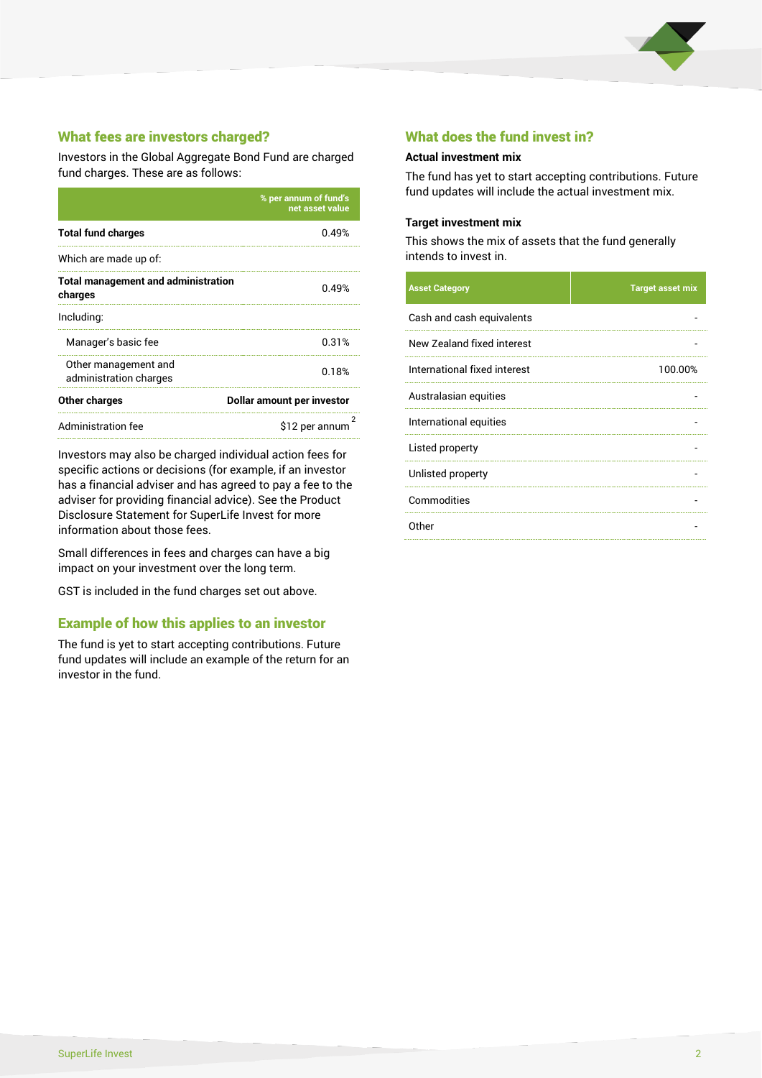

## What fees are investors charged?

Investors in the Global Aggregate Bond Fund are charged fund charges. These are as follows:

|                                                       | % per annum of fund's<br>net asset value |  |
|-------------------------------------------------------|------------------------------------------|--|
| <b>Total fund charges</b>                             | በ 49%                                    |  |
| Which are made up of:                                 |                                          |  |
| <b>Total management and administration</b><br>charges | 0.49%                                    |  |
| Including:                                            |                                          |  |
| Manager's basic fee                                   | 0.31%                                    |  |
| Other management and<br>administration charges        | 0.18%                                    |  |
| Other charges                                         | Dollar amount per investor               |  |
| Administration fee                                    | \$12 per annum                           |  |

Investors may also be charged individual action fees for specific actions or decisions (for example, if an investor has a financial adviser and has agreed to pay a fee to the adviser for providing financial advice). See the Product Disclosure Statement for SuperLife Invest for more information about those fees.

Small differences in fees and charges can have a big impact on your investment over the long term.

GST is included in the fund charges set out above.

## Example of how this applies to an investor

The fund is yet to start accepting contributions. Future fund updates will include an example of the return for an investor in the fund.

## What does the fund invest in?

#### **Actual investment mix**

The fund has yet to start accepting contributions. Future fund updates will include the actual investment mix.

#### **Target investment mix**

This shows the mix of assets that the fund generally intends to invest in.

| <b>Asset Category</b>        | <b>Target asset mix</b> |
|------------------------------|-------------------------|
| Cash and cash equivalents    |                         |
| New Zealand fixed interest   |                         |
| International fixed interest | 100.00%                 |
| Australasian equities        |                         |
| International equities       |                         |
| Listed property              |                         |
| Unlisted property            |                         |
| Commodities                  |                         |
| Other                        |                         |
|                              |                         |